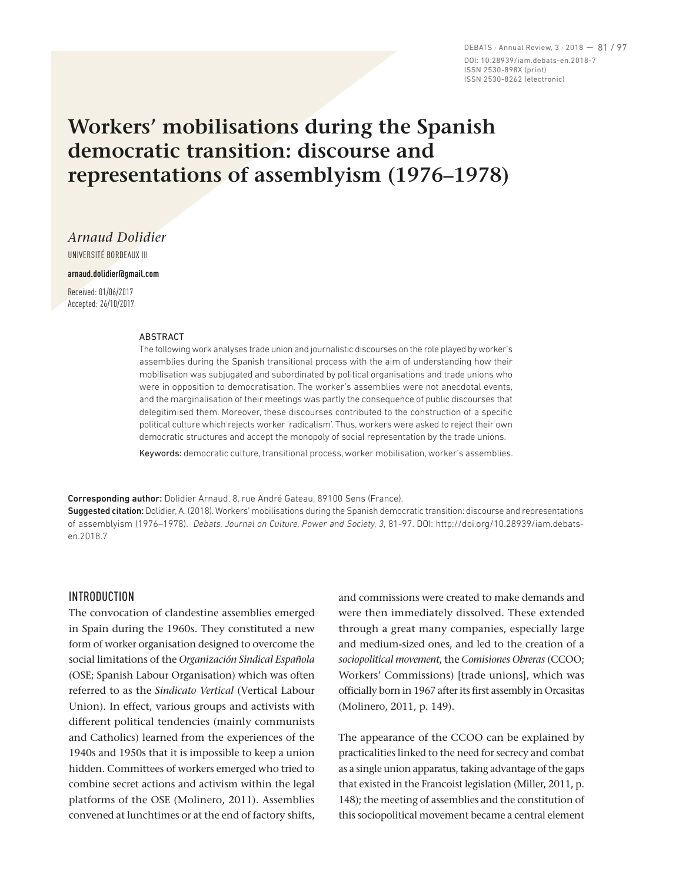DEBATS · Annual Review, 3 · 2018 — 81 / 97 DOI: 10.28939/iam.debats-en.2018-7 ISSN 2530-898X (print) ISSN 2530-8262 (electronic)

# **Workers' mobilisations during the Spanish democratic transition: discourse and representations of assemblyism (1976–1978)**

*Arnaud Dolidier*

UNIVERSITÉ BORDEAUX III

**arnaud.dolidier@gmail.com**

Received: 01/06/2017 Accepted: 26/10/2017

#### **ARSTRACT**

The following work analyses trade union and journalistic discourses on the role played by worker's assemblies during the Spanish transitional process with the aim of understanding how their mobilisation was subjugated and subordinated by political organisations and trade unions who were in opposition to democratisation. The worker's assemblies were not anecdotal events, and the marginalisation of their meetings was partly the consequence of public discourses that delegitimised them. Moreover, these discourses contributed to the construction of a specific political culture which rejects worker 'radicalism'. Thus, workers were asked to reject their own democratic structures and accept the monopoly of social representation by the trade unions.

Keywords: democratic culture, transitional process, worker mobilisation, worker's assemblies.

Corresponding author: Dolidier Arnaud. 8, rue André Gateau, 89100 Sens (France).

Suggested citation: Dolidier, A. (2018). Workers' mobilisations during the Spanish democratic transition: discourse and representations of assemblyism (1976–1978). *Debats. Journal on Culture, Power and Society, 3*, 81-97. DOI: http://doi.org/10.28939/iam.debatsen.2018.7

# INTRODUCTION

The convocation of clandestine assemblies emerged in Spain during the 1960s. They constituted a new form of worker organisation designed to overcome the social limitations of the *Organización Sindical Española* (OSE; Spanish Labour Organisation) which was often referred to as the *Sindicato Vertical* (Vertical Labour Union). In effect, various groups and activists with different political tendencies (mainly communists and Catholics) learned from the experiences of the 1940s and 1950s that it is impossible to keep a union hidden. Committees of workers emerged who tried to combine secret actions and activism within the legal platforms of the OSE (Molinero, 2011). Assemblies convened at lunchtimes or at the end of factory shifts,

and commissions were created to make demands and were then immediately dissolved. These extended through a great many companies, especially large and medium-sized ones, and led to the creation of a *sociopolitical movement*, the *Comisiones Obreras* (CCOO; Workers' Commissions) [trade unions], which was officially born in 1967 after its first assembly in Orcasitas (Molinero, 2011, p. 149).

The appearance of the CCOO can be explained by practicalities linked to the need for secrecy and combat as a single union apparatus, taking advantage of the gaps that existed in the Francoist legislation (Miller, 2011, p. 148); the meeting of assemblies and the constitution of this sociopolitical movement became a central element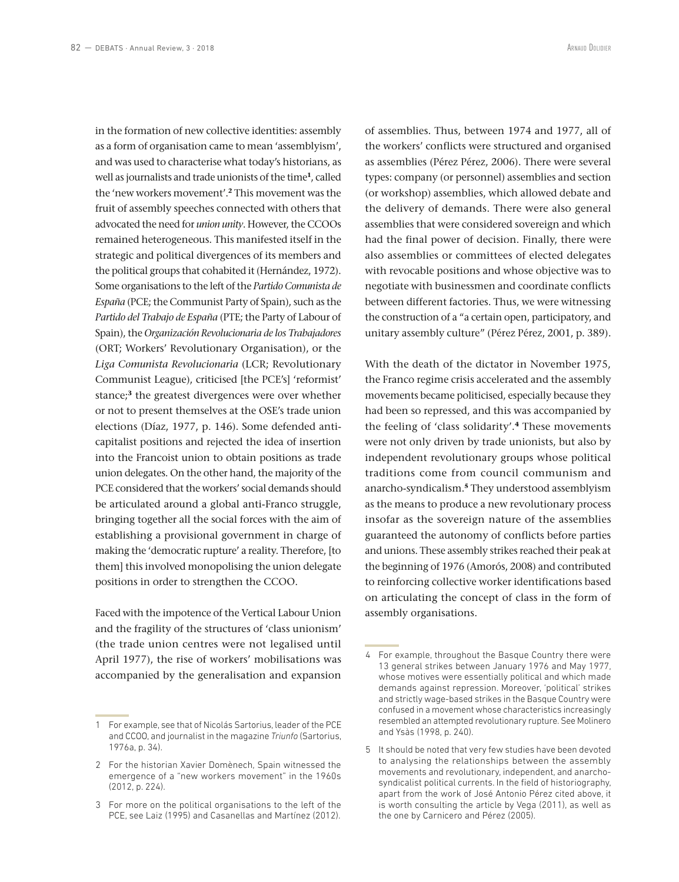in the formation of new collective identities: assembly as a form of organisation came to mean 'assemblyism', and was used to characterise what today's historians, as well as journalists and trade unionists of the time**<sup>1</sup>**, called the 'new workers movement'.**<sup>2</sup>** This movement was the fruit of assembly speeches connected with others that advocated the need for *union unity*. However, the CCOOs remained heterogeneous. This manifested itself in the strategic and political divergences of its members and the political groups that cohabited it (Hernández, 1972). Some organisations to the left of the *Partido Comunista de España* (PCE; the Communist Party of Spain), such as the *Partido del Trabajo de España* (PTE; the Party of Labour of Spain), the *Organización Revolucionaria de los Trabajadores* (ORT; Workers' Revolutionary Organisation), or the *Liga Comunista Revolucionaria* (LCR; Revolutionary Communist League), criticised [the PCE's] 'reformist' stance;**<sup>3</sup>** the greatest divergences were over whether or not to present themselves at the OSE's trade union elections (Díaz, 1977, p. 146). Some defended anticapitalist positions and rejected the idea of insertion into the Francoist union to obtain positions as trade union delegates. On the other hand, the majority of the PCE considered that the workers' social demands should be articulated around a global anti-Franco struggle, bringing together all the social forces with the aim of establishing a provisional government in charge of making the 'democratic rupture' a reality. Therefore, [to them] this involved monopolising the union delegate positions in order to strengthen the CCOO.

Faced with the impotence of the Vertical Labour Union and the fragility of the structures of 'class unionism' (the trade union centres were not legalised until April 1977), the rise of workers' mobilisations was accompanied by the generalisation and expansion of assemblies. Thus, between 1974 and 1977, all of the workers' conflicts were structured and organised as assemblies (Pérez Pérez, 2006). There were several types: company (or personnel) assemblies and section (or workshop) assemblies, which allowed debate and the delivery of demands. There were also general assemblies that were considered sovereign and which had the final power of decision. Finally, there were also assemblies or committees of elected delegates with revocable positions and whose objective was to negotiate with businessmen and coordinate conflicts between different factories. Thus, we were witnessing the construction of a "a certain open, participatory, and unitary assembly culture" (Pérez Pérez, 2001, p. 389).

With the death of the dictator in November 1975, the Franco regime crisis accelerated and the assembly movements became politicised, especially because they had been so repressed, and this was accompanied by the feeling of 'class solidarity'.**<sup>4</sup>** These movements were not only driven by trade unionists, but also by independent revolutionary groups whose political traditions come from council communism and anarcho-syndicalism.**<sup>5</sup>** They understood assemblyism as the means to produce a new revolutionary process insofar as the sovereign nature of the assemblies guaranteed the autonomy of conflicts before parties and unions. These assembly strikes reached their peak at the beginning of 1976 (Amorós, 2008) and contributed to reinforcing collective worker identifications based on articulating the concept of class in the form of assembly organisations.

<sup>1</sup> For example, see that of Nicolás Sartorius, leader of the PCE and CCOO, and journalist in the magazine *Triunfo* (Sartorius, 1976a, p. 34).

<sup>2</sup> For the historian Xavier Domènech, Spain witnessed the emergence of a "new workers movement" in the 1960s (2012, p. 224).

<sup>3</sup> For more on the political organisations to the left of the PCE, see Laiz (1995) and Casanellas and Martínez (2012).

<sup>4</sup> For example, throughout the Basque Country there were 13 general strikes between January 1976 and May 1977, whose motives were essentially political and which made demands against repression. Moreover, 'political' strikes and strictly wage-based strikes in the Basque Country were confused in a movement whose characteristics increasingly resembled an attempted revolutionary rupture. See Molinero and Ysàs (1998, p. 240).

<sup>5</sup> It should be noted that very few studies have been devoted to analysing the relationships between the assembly movements and revolutionary, independent, and anarchosyndicalist political currents. In the field of historiography, apart from the work of José Antonio Pérez cited above, it is worth consulting the article by Vega (2011), as well as the one by Carnicero and Pérez (2005).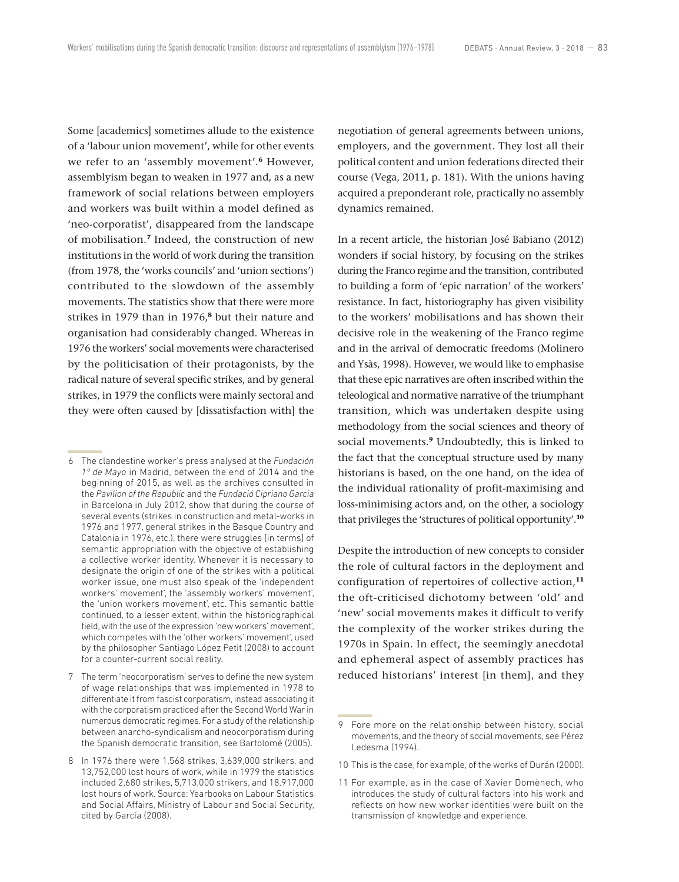Some [academics] sometimes allude to the existence of a 'labour union movement', while for other events we refer to an 'assembly movement'.**<sup>6</sup>** However, assemblyism began to weaken in 1977 and, as a new framework of social relations between employers and workers was built within a model defined as 'neo-corporatist', disappeared from the landscape of mobilisation.**<sup>7</sup>** Indeed, the construction of new institutions in the world of work during the transition (from 1978, the 'works councils' and 'union sections') contributed to the slowdown of the assembly movements. The statistics show that there were more strikes in 1979 than in 1976,**<sup>8</sup>** but their nature and organisation had considerably changed. Whereas in 1976 the workers' social movements were characterised by the politicisation of their protagonists, by the radical nature of several specific strikes, and by general strikes, in 1979 the conflicts were mainly sectoral and they were often caused by [dissatisfaction with] the negotiation of general agreements between unions, employers, and the government. They lost all their political content and union federations directed their course (Vega, 2011, p. 181). With the unions having acquired a preponderant role, practically no assembly dynamics remained.

In a recent article, the historian José Babiano (2012) wonders if social history, by focusing on the strikes during the Franco regime and the transition, contributed to building a form of 'epic narration' of the workers' resistance. In fact, historiography has given visibility to the workers' mobilisations and has shown their decisive role in the weakening of the Franco regime and in the arrival of democratic freedoms (Molinero and Ysàs, 1998). However, we would like to emphasise that these epic narratives are often inscribed within the teleological and normative narrative of the triumphant transition, which was undertaken despite using methodology from the social sciences and theory of social movements.**<sup>9</sup>** Undoubtedly, this is linked to the fact that the conceptual structure used by many historians is based, on the one hand, on the idea of the individual rationality of profit-maximising and loss-minimising actors and, on the other, a sociology that privileges the 'structures of political opportunity'.**<sup>10</sup>**

Despite the introduction of new concepts to consider the role of cultural factors in the deployment and configuration of repertoires of collective action,**<sup>11</sup>** the oft-criticised dichotomy between 'old' and 'new' social movements makes it difficult to verify the complexity of the worker strikes during the 1970s in Spain. In effect, the seemingly anecdotal and ephemeral aspect of assembly practices has reduced historians' interest [in them], and they

- 10 This is the case, for example, of the works of Durán (2000).
- 11 For example, as in the case of Xavier Domènech, who introduces the study of cultural factors into his work and reflects on how new worker identities were built on the transmission of knowledge and experience.

<sup>6</sup> The clandestine worker's press analysed at the *Fundación 1º de Mayo* in Madrid, between the end of 2014 and the beginning of 2015, as well as the archives consulted in the *Pavilion of the Republic* and the *Fundació Cipriano Garcia*  in Barcelona in July 2012, show that during the course of several events (strikes in construction and metal-works in 1976 and 1977, general strikes in the Basque Country and Catalonia in 1976, etc.), there were struggles [in terms] of semantic appropriation with the objective of establishing a collective worker identity. Whenever it is necessary to designate the origin of one of the strikes with a political worker issue, one must also speak of the 'independent workers' movement', the 'assembly workers' movement', the 'union workers movement', etc. This semantic battle continued, to a lesser extent, within the historiographical field, with the use of the expression 'new workers' movement', which competes with the 'other workers' movement', used by the philosopher Santiago López Petit (2008) to account for a counter-current social reality.

<sup>7</sup> The term 'neocorporatism' serves to define the new system of wage relationships that was implemented in 1978 to differentiate it from fascist corporatism, instead associating it with the corporatism practiced after the Second World War in numerous democratic regimes. For a study of the relationship between anarcho-syndicalism and neocorporatism during the Spanish democratic transition, see Bartolomé (2005).

<sup>8</sup> In 1976 there were 1,568 strikes, 3,639,000 strikers, and 13,752,000 lost hours of work, while in 1979 the statistics included 2,680 strikes, 5,713,000 strikers, and 18,917,000 lost hours of work. Source: Yearbooks on Labour Statistics and Social Affairs, Ministry of Labour and Social Security, cited by García (2008).

<sup>9</sup> Fore more on the relationship between history, social movements, and the theory of social movements, see Pérez Ledesma (1994).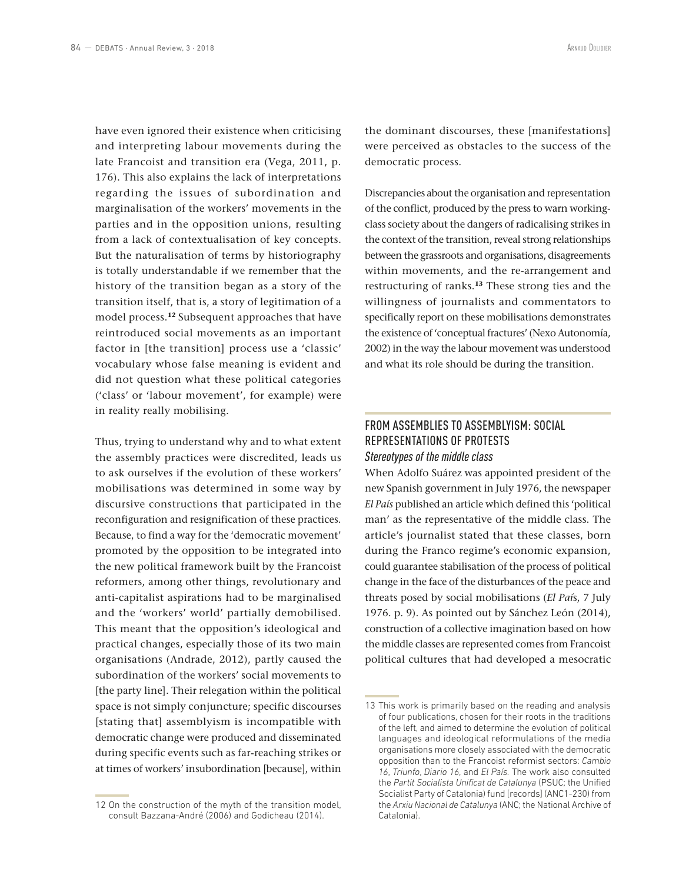have even ignored their existence when criticising and interpreting labour movements during the late Francoist and transition era (Vega, 2011, p. 176). This also explains the lack of interpretations regarding the issues of subordination and marginalisation of the workers' movements in the parties and in the opposition unions, resulting from a lack of contextualisation of key concepts. But the naturalisation of terms by historiography is totally understandable if we remember that the history of the transition began as a story of the transition itself, that is, a story of legitimation of a model process.**<sup>12</sup>** Subsequent approaches that have reintroduced social movements as an important factor in [the transition] process use a 'classic' vocabulary whose false meaning is evident and did not question what these political categories ('class' or 'labour movement', for example) were in reality really mobilising.

Thus, trying to understand why and to what extent the assembly practices were discredited, leads us to ask ourselves if the evolution of these workers' mobilisations was determined in some way by discursive constructions that participated in the reconfiguration and resignification of these practices. Because, to find a way for the 'democratic movement' promoted by the opposition to be integrated into the new political framework built by the Francoist reformers, among other things, revolutionary and anti-capitalist aspirations had to be marginalised and the 'workers' world' partially demobilised. This meant that the opposition's ideological and practical changes, especially those of its two main organisations (Andrade, 2012), partly caused the subordination of the workers' social movements to [the party line]. Their relegation within the political space is not simply conjuncture; specific discourses [stating that] assemblyism is incompatible with democratic change were produced and disseminated during specific events such as far-reaching strikes or at times of workers' insubordination [because], within

12 On the construction of the myth of the transition model, consult Bazzana-André (2006) and Godicheau (2014).

the dominant discourses, these [manifestations] were perceived as obstacles to the success of the democratic process.

Discrepancies about the organisation and representation of the conflict, produced by the press to warn workingclass society about the dangers of radicalising strikes in the context of the transition, reveal strong relationships between the grassroots and organisations, disagreements within movements, and the re-arrangement and restructuring of ranks.**<sup>13</sup>** These strong ties and the willingness of journalists and commentators to specifically report on these mobilisations demonstrates the existence of 'conceptual fractures' (Nexo Autonomía, 2002) in the way the labour movement was understood and what its role should be during the transition.

# FROM ASSEMBLIES TO ASSEMBLYISM: SOCIAL REPRESENTATIONS OF PROTESTS *Stereotypes of the middle class*

When Adolfo Suárez was appointed president of the new Spanish government in July 1976, the newspaper *El País* published an article which defined this 'political man' as the representative of the middle class. The article's journalist stated that these classes, born during the Franco regime's economic expansion, could guarantee stabilisation of the process of political change in the face of the disturbances of the peace and threats posed by social mobilisations (*El Paí*s, 7 July 1976. p. 9). As pointed out by Sánchez León (2014), construction of a collective imagination based on how the middle classes are represented comes from Francoist political cultures that had developed a mesocratic

<sup>13</sup> This work is primarily based on the reading and analysis of four publications, chosen for their roots in the traditions of the left, and aimed to determine the evolution of political languages and ideological reformulations of the media organisations more closely associated with the democratic opposition than to the Francoist reformist sectors: *Cambio 16*, *Triunfo*, *Diario 16*, and *El País.* The work also consulted the *Partit Socialista Unificat de Catalunya* (PSUC; the Unified Socialist Party of Catalonia) fund [records] (ANC1-230) from the *Arxiu Nacional de Catalunya* (ANC; the National Archive of Catalonia).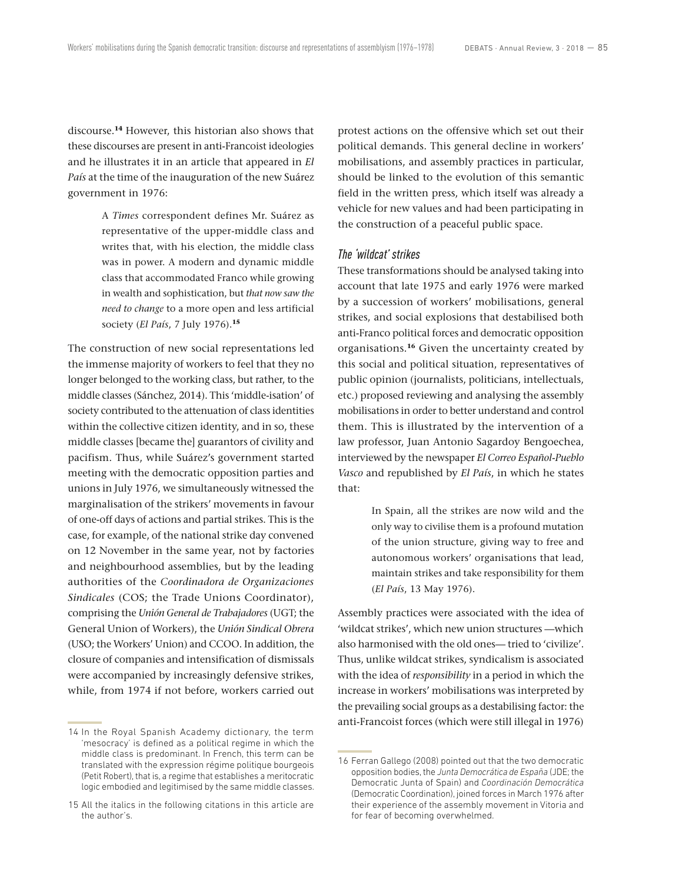discourse.**<sup>14</sup>** However, this historian also shows that these discourses are present in anti-Francoist ideologies and he illustrates it in an article that appeared in *El País* at the time of the inauguration of the new Suárez government in 1976:

> A *Times* correspondent defines Mr. Suárez as representative of the upper-middle class and writes that, with his election, the middle class was in power. A modern and dynamic middle class that accommodated Franco while growing in wealth and sophistication, but *that now saw the need to change* to a more open and less artificial society (*El País*, 7 July 1976).**<sup>15</sup>**

The construction of new social representations led the immense majority of workers to feel that they no longer belonged to the working class, but rather, to the middle classes (Sánchez, 2014). This 'middle-isation' of society contributed to the attenuation of class identities within the collective citizen identity, and in so, these middle classes [became the] guarantors of civility and pacifism. Thus, while Suárez's government started meeting with the democratic opposition parties and unions in July 1976, we simultaneously witnessed the marginalisation of the strikers' movements in favour of one-off days of actions and partial strikes. This is the case, for example, of the national strike day convened on 12 November in the same year, not by factories and neighbourhood assemblies, but by the leading authorities of the *Coordinadora de Organizaciones Sindicales* (COS; the Trade Unions Coordinator), comprising the *Unión General de Trabajadores* (UGT; the General Union of Workers), the *Unión Sindical Obrera*  (USO; the Workers' Union) and CCOO. In addition, the closure of companies and intensification of dismissals were accompanied by increasingly defensive strikes, while, from 1974 if not before, workers carried out protest actions on the offensive which set out their political demands. This general decline in workers' mobilisations, and assembly practices in particular, should be linked to the evolution of this semantic field in the written press, which itself was already a vehicle for new values and had been participating in the construction of a peaceful public space.

# *The 'wildcat' strikes*

These transformations should be analysed taking into account that late 1975 and early 1976 were marked by a succession of workers' mobilisations, general strikes, and social explosions that destabilised both anti-Franco political forces and democratic opposition organisations.**<sup>16</sup>** Given the uncertainty created by this social and political situation, representatives of public opinion (journalists, politicians, intellectuals, etc.) proposed reviewing and analysing the assembly mobilisations in order to better understand and control them. This is illustrated by the intervention of a law professor, Juan Antonio Sagardoy Bengoechea, interviewed by the newspaper *El Correo Español-Pueblo Vasco* and republished by *El País*, in which he states that:

> In Spain, all the strikes are now wild and the only way to civilise them is a profound mutation of the union structure, giving way to free and autonomous workers' organisations that lead, maintain strikes and take responsibility for them (*El País*, 13 May 1976).

Assembly practices were associated with the idea of 'wildcat strikes', which new union structures —which also harmonised with the old ones— tried to 'civilize'. Thus, unlike wildcat strikes, syndicalism is associated with the idea of *responsibility* in a period in which the increase in workers' mobilisations was interpreted by the prevailing social groups as a destabilising factor: the anti-Francoist forces (which were still illegal in 1976)

<sup>14</sup> In the Royal Spanish Academy dictionary, the term 'mesocracy' is defined as a political regime in which the middle class is predominant. In French, this term can be translated with the expression régime politique bourgeois (Petit Robert), that is, a regime that establishes a meritocratic logic embodied and legitimised by the same middle classes.

<sup>15</sup> All the italics in the following citations in this article are the author's.

<sup>16</sup> Ferran Gallego (2008) pointed out that the two democratic opposition bodies, the *Junta Democrática de España* (JDE; the Democratic Junta of Spain) and *Coordinación Democrática*  (Democratic Coordination), joined forces in March 1976 after their experience of the assembly movement in Vitoria and for fear of becoming overwhelmed.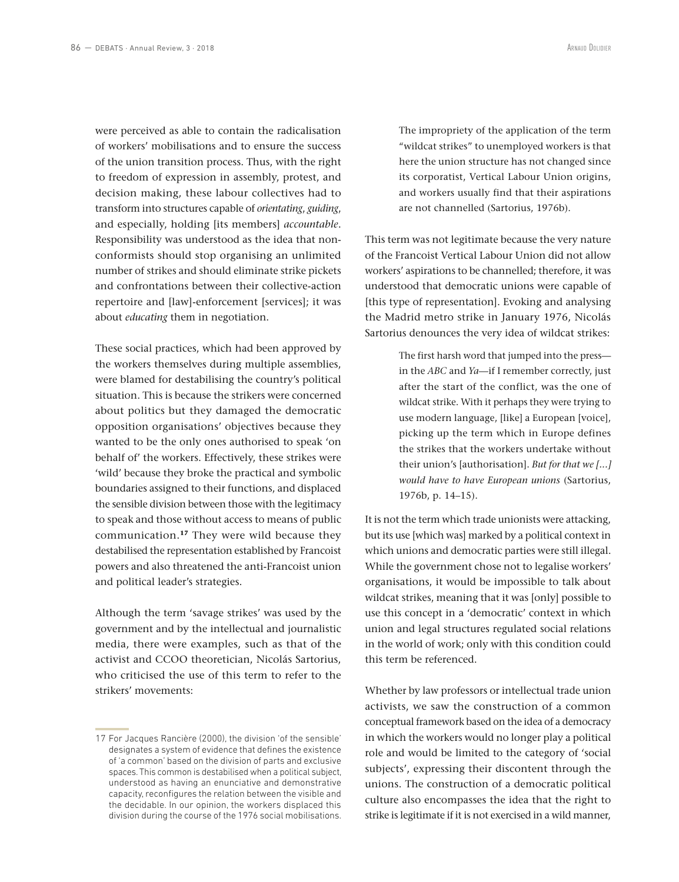were perceived as able to contain the radicalisation of workers' mobilisations and to ensure the success of the union transition process. Thus, with the right to freedom of expression in assembly, protest, and decision making, these labour collectives had to transform into structures capable of *orientating*, *guiding*, and especially, holding [its members] *accountable*. Responsibility was understood as the idea that nonconformists should stop organising an unlimited number of strikes and should eliminate strike pickets and confrontations between their collective-action repertoire and [law]-enforcement [services]; it was about *educating* them in negotiation.

These social practices, which had been approved by the workers themselves during multiple assemblies, were blamed for destabilising the country's political situation. This is because the strikers were concerned about politics but they damaged the democratic opposition organisations' objectives because they wanted to be the only ones authorised to speak 'on behalf of' the workers. Effectively, these strikes were 'wild' because they broke the practical and symbolic boundaries assigned to their functions, and displaced the sensible division between those with the legitimacy to speak and those without access to means of public communication.**<sup>17</sup>** They were wild because they destabilised the representation established by Francoist powers and also threatened the anti-Francoist union and political leader's strategies.

Although the term 'savage strikes' was used by the government and by the intellectual and journalistic media, there were examples, such as that of the activist and CCOO theoretician, Nicolás Sartorius, who criticised the use of this term to refer to the strikers' movements:

The impropriety of the application of the term "wildcat strikes" to unemployed workers is that here the union structure has not changed since its corporatist, Vertical Labour Union origins, and workers usually find that their aspirations are not channelled (Sartorius, 1976b).

This term was not legitimate because the very nature of the Francoist Vertical Labour Union did not allow workers' aspirations to be channelled; therefore, it was understood that democratic unions were capable of [this type of representation]. Evoking and analysing the Madrid metro strike in January 1976, Nicolás Sartorius denounces the very idea of wildcat strikes:

> The first harsh word that jumped into the press in the *ABC* and *Ya*—if I remember correctly, just after the start of the conflict, was the one of wildcat strike. With it perhaps they were trying to use modern language, [like] a European [voice], picking up the term which in Europe defines the strikes that the workers undertake without their union's [authorisation]. *But for that we [...] would have to have European unions* (Sartorius, 1976b, p. 14–15).

It is not the term which trade unionists were attacking, but its use [which was] marked by a political context in which unions and democratic parties were still illegal. While the government chose not to legalise workers' organisations, it would be impossible to talk about wildcat strikes, meaning that it was [only] possible to use this concept in a 'democratic' context in which union and legal structures regulated social relations in the world of work; only with this condition could this term be referenced.

Whether by law professors or intellectual trade union activists, we saw the construction of a common conceptual framework based on the idea of a democracy in which the workers would no longer play a political role and would be limited to the category of 'social subjects', expressing their discontent through the unions. The construction of a democratic political culture also encompasses the idea that the right to strike is legitimate if it is not exercised in a wild manner,

<sup>17</sup> For Jacques Rancière (2000), the division 'of the sensible' designates a system of evidence that defines the existence of 'a common' based on the division of parts and exclusive spaces. This common is destabilised when a political subject, understood as having an enunciative and demonstrative capacity, reconfigures the relation between the visible and the decidable. In our opinion, the workers displaced this division during the course of the 1976 social mobilisations.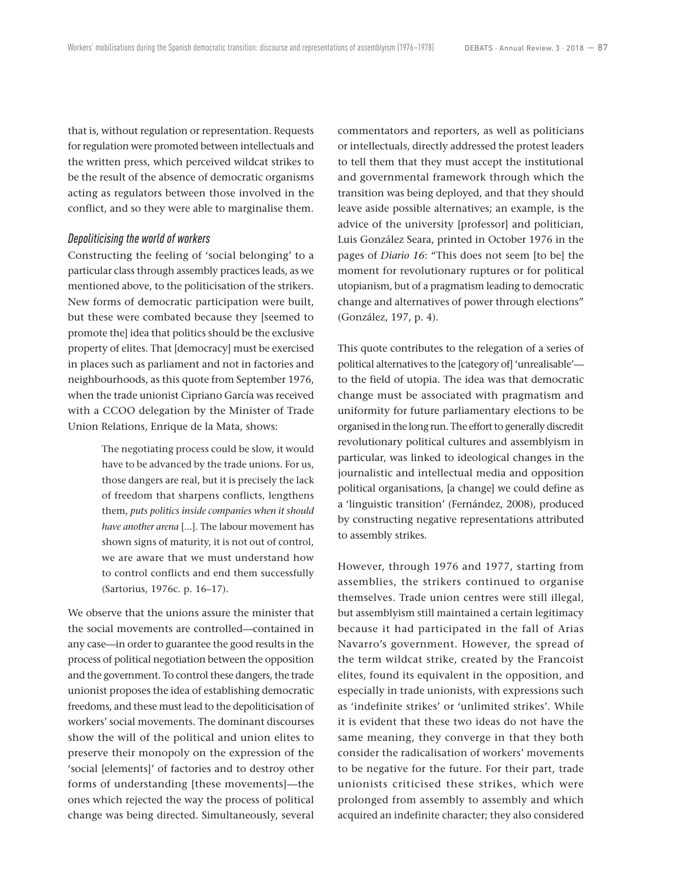that is, without regulation or representation. Requests for regulation were promoted between intellectuals and the written press, which perceived wildcat strikes to be the result of the absence of democratic organisms acting as regulators between those involved in the conflict, and so they were able to marginalise them.

#### *Depoliticising the world of workers*

Constructing the feeling of 'social belonging' to a particular class through assembly practices leads, as we mentioned above, to the politicisation of the strikers. New forms of democratic participation were built, but these were combated because they [seemed to promote the] idea that politics should be the exclusive property of elites. That [democracy] must be exercised in places such as parliament and not in factories and neighbourhoods, as this quote from September 1976, when the trade unionist Cipriano García was received with a CCOO delegation by the Minister of Trade Union Relations, Enrique de la Mata, shows:

> The negotiating process could be slow, it would have to be advanced by the trade unions. For us, those dangers are real, but it is precisely the lack of freedom that sharpens conflicts, lengthens them, *puts politics inside companies when it should have another arena* [...]. The labour movement has shown signs of maturity, it is not out of control, we are aware that we must understand how to control conflicts and end them successfully (Sartorius, 1976c. p. 16–17).

We observe that the unions assure the minister that the social movements are controlled—contained in any case—in order to guarantee the good results in the process of political negotiation between the opposition and the government. To control these dangers, the trade unionist proposes the idea of establishing democratic freedoms, and these must lead to the depoliticisation of workers' social movements. The dominant discourses show the will of the political and union elites to preserve their monopoly on the expression of the 'social [elements]' of factories and to destroy other forms of understanding [these movements]—the ones which rejected the way the process of political change was being directed. Simultaneously, several commentators and reporters, as well as politicians or intellectuals, directly addressed the protest leaders to tell them that they must accept the institutional and governmental framework through which the transition was being deployed, and that they should leave aside possible alternatives; an example, is the advice of the university [professor] and politician, Luis González Seara, printed in October 1976 in the pages of *Diario 16*: "This does not seem [to be] the moment for revolutionary ruptures or for political utopianism, but of a pragmatism leading to democratic change and alternatives of power through elections" (González, 197, p. 4).

This quote contributes to the relegation of a series of political alternatives to the [category of] 'unrealisable' to the field of utopia. The idea was that democratic change must be associated with pragmatism and uniformity for future parliamentary elections to be organised in the long run. The effort to generally discredit revolutionary political cultures and assemblyism in particular, was linked to ideological changes in the journalistic and intellectual media and opposition political organisations, [a change] we could define as a 'linguistic transition' (Fernández, 2008), produced by constructing negative representations attributed to assembly strikes.

However, through 1976 and 1977, starting from assemblies, the strikers continued to organise themselves. Trade union centres were still illegal, but assemblyism still maintained a certain legitimacy because it had participated in the fall of Arias Navarro's government. However, the spread of the term wildcat strike, created by the Francoist elites, found its equivalent in the opposition, and especially in trade unionists, with expressions such as 'indefinite strikes' or 'unlimited strikes'. While it is evident that these two ideas do not have the same meaning, they converge in that they both consider the radicalisation of workers' movements to be negative for the future. For their part, trade unionists criticised these strikes, which were prolonged from assembly to assembly and which acquired an indefinite character; they also considered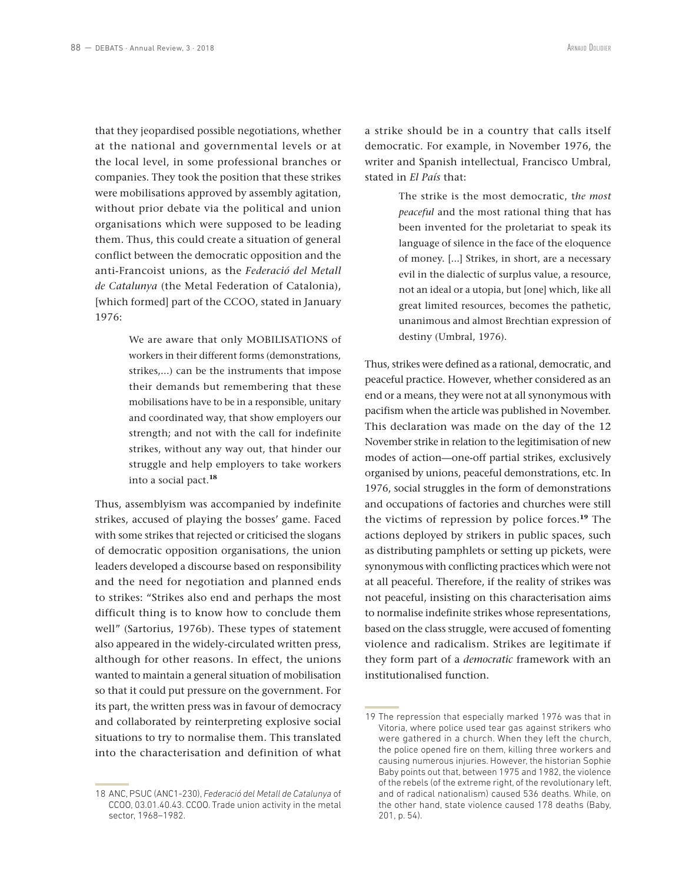that they jeopardised possible negotiations, whether at the national and governmental levels or at the local level, in some professional branches or companies. They took the position that these strikes were mobilisations approved by assembly agitation, without prior debate via the political and union organisations which were supposed to be leading them. Thus, this could create a situation of general conflict between the democratic opposition and the anti-Francoist unions, as the *Federació del Metall de Catalunya* (the Metal Federation of Catalonia), [which formed] part of the CCOO, stated in January 1976:

> We are aware that only MOBILISATIONS of workers in their different forms (demonstrations, strikes,...) can be the instruments that impose their demands but remembering that these mobilisations have to be in a responsible, unitary and coordinated way, that show employers our strength; and not with the call for indefinite strikes, without any way out, that hinder our struggle and help employers to take workers into a social pact.**<sup>18</sup>**

Thus, assemblyism was accompanied by indefinite strikes, accused of playing the bosses' game. Faced with some strikes that rejected or criticised the slogans of democratic opposition organisations, the union leaders developed a discourse based on responsibility and the need for negotiation and planned ends to strikes: "Strikes also end and perhaps the most difficult thing is to know how to conclude them well" (Sartorius, 1976b). These types of statement also appeared in the widely-circulated written press, although for other reasons. In effect, the unions wanted to maintain a general situation of mobilisation so that it could put pressure on the government. For its part, the written press was in favour of democracy and collaborated by reinterpreting explosive social situations to try to normalise them. This translated into the characterisation and definition of what

18 ANC, PSUC (ANC1-230), *Federació del Metall de Catalunya* of CCOO, 03.01.40.43. CCOO. Trade union activity in the metal sector, 1968–1982.

a strike should be in a country that calls itself democratic. For example, in November 1976, the writer and Spanish intellectual, Francisco Umbral, stated in *El País* that:

> The strike is the most democratic, t*he most peaceful* and the most rational thing that has been invented for the proletariat to speak its language of silence in the face of the eloquence of money. [...] Strikes, in short, are a necessary evil in the dialectic of surplus value, a resource, not an ideal or a utopia, but [one] which, like all great limited resources, becomes the pathetic, unanimous and almost Brechtian expression of destiny (Umbral, 1976).

Thus, strikes were defined as a rational, democratic, and peaceful practice. However, whether considered as an end or a means, they were not at all synonymous with pacifism when the article was published in November. This declaration was made on the day of the 12 November strike in relation to the legitimisation of new modes of action—one-off partial strikes, exclusively organised by unions, peaceful demonstrations, etc. In 1976, social struggles in the form of demonstrations and occupations of factories and churches were still the victims of repression by police forces.**<sup>19</sup>** The actions deployed by strikers in public spaces, such as distributing pamphlets or setting up pickets, were synonymous with conflicting practices which were not at all peaceful. Therefore, if the reality of strikes was not peaceful, insisting on this characterisation aims to normalise indefinite strikes whose representations, based on the class struggle, were accused of fomenting violence and radicalism. Strikes are legitimate if they form part of a *democratic* framework with an institutionalised function.

<sup>19</sup> The repression that especially marked 1976 was that in Vitoria, where police used tear gas against strikers who were gathered in a church. When they left the church, the police opened fire on them, killing three workers and causing numerous injuries. However, the historian Sophie Baby points out that, between 1975 and 1982, the violence of the rebels (of the extreme right, of the revolutionary left, and of radical nationalism) caused 536 deaths. While, on the other hand, state violence caused 178 deaths (Baby, 201, p. 54).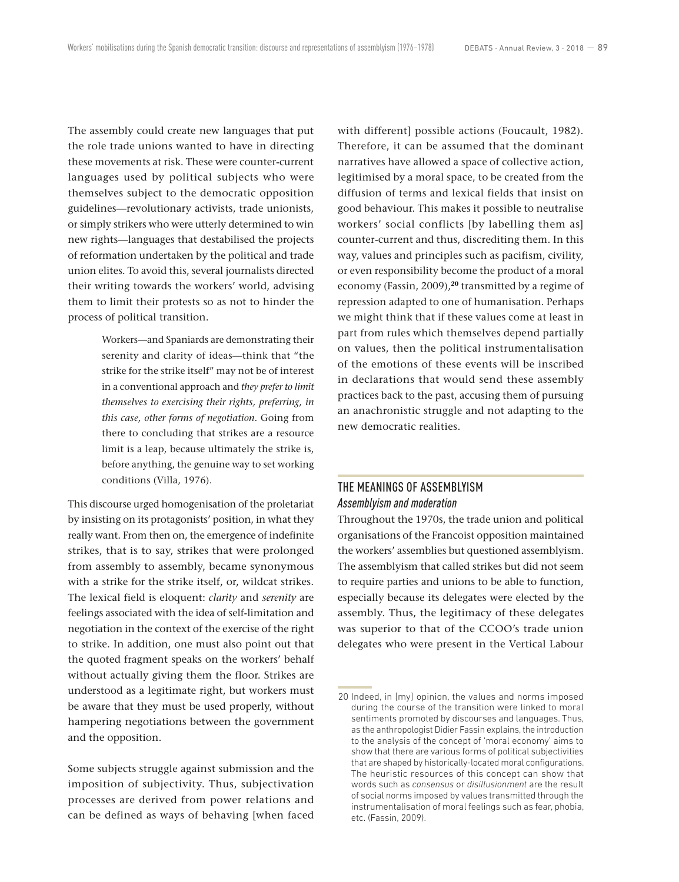The assembly could create new languages that put the role trade unions wanted to have in directing these movements at risk. These were counter-current languages used by political subjects who were themselves subject to the democratic opposition guidelines—revolutionary activists, trade unionists, or simply strikers who were utterly determined to win new rights—languages that destabilised the projects of reformation undertaken by the political and trade union elites. To avoid this, several journalists directed their writing towards the workers' world, advising them to limit their protests so as not to hinder the process of political transition.

> Workers—and Spaniards are demonstrating their serenity and clarity of ideas—think that "the strike for the strike itself" may not be of interest in a conventional approach and *they prefer to limit themselves to exercising their rights, preferring, in this case, other forms of negotiation*. Going from there to concluding that strikes are a resource limit is a leap, because ultimately the strike is, before anything, the genuine way to set working conditions (Villa, 1976).

This discourse urged homogenisation of the proletariat by insisting on its protagonists' position, in what they really want. From then on, the emergence of indefinite strikes, that is to say, strikes that were prolonged from assembly to assembly, became synonymous with a strike for the strike itself, or, wildcat strikes. The lexical field is eloquent: *clarity* and *serenity* are feelings associated with the idea of self-limitation and negotiation in the context of the exercise of the right to strike. In addition, one must also point out that the quoted fragment speaks on the workers' behalf without actually giving them the floor. Strikes are understood as a legitimate right, but workers must be aware that they must be used properly, without hampering negotiations between the government and the opposition.

Some subjects struggle against submission and the imposition of subjectivity. Thus, subjectivation processes are derived from power relations and can be defined as ways of behaving [when faced with different] possible actions (Foucault, 1982). Therefore, it can be assumed that the dominant narratives have allowed a space of collective action, legitimised by a moral space, to be created from the diffusion of terms and lexical fields that insist on good behaviour. This makes it possible to neutralise workers' social conflicts [by labelling them as] counter-current and thus, discrediting them. In this way, values and principles such as pacifism, civility, or even responsibility become the product of a moral economy (Fassin, 2009),**<sup>20</sup>** transmitted by a regime of repression adapted to one of humanisation. Perhaps we might think that if these values come at least in part from rules which themselves depend partially on values, then the political instrumentalisation of the emotions of these events will be inscribed in declarations that would send these assembly practices back to the past, accusing them of pursuing an anachronistic struggle and not adapting to the new democratic realities.

# THE MEANINGS OF ASSEMBLYISM *Assemblyism and moderation*

Throughout the 1970s, the trade union and political organisations of the Francoist opposition maintained the workers' assemblies but questioned assemblyism. The assemblyism that called strikes but did not seem to require parties and unions to be able to function, especially because its delegates were elected by the assembly. Thus, the legitimacy of these delegates was superior to that of the CCOO's trade union delegates who were present in the Vertical Labour

<sup>20</sup> Indeed, in [my] opinion, the values and norms imposed during the course of the transition were linked to moral sentiments promoted by discourses and languages. Thus, as the anthropologist Didier Fassin explains, the introduction to the analysis of the concept of 'moral economy' aims to show that there are various forms of political subjectivities that are shaped by historically-located moral configurations. The heuristic resources of this concept can show that words such as *consensus* or *disillusionment* are the result of social norms imposed by values transmitted through the instrumentalisation of moral feelings such as fear, phobia, etc. (Fassin, 2009).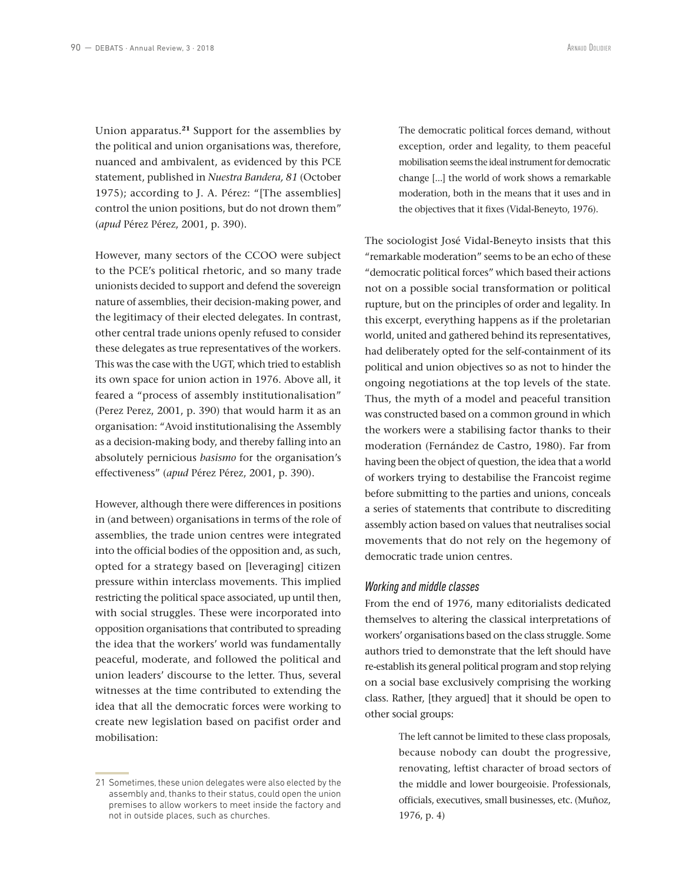Union apparatus.**<sup>21</sup>** Support for the assemblies by the political and union organisations was, therefore, nuanced and ambivalent, as evidenced by this PCE statement, published in *Nuestra Bandera, 81* (October 1975); according to J. A. Pérez: "[The assemblies] control the union positions, but do not drown them" (*apud* Pérez Pérez, 2001, p. 390).

However, many sectors of the CCOO were subject to the PCE's political rhetoric, and so many trade unionists decided to support and defend the sovereign nature of assemblies, their decision-making power, and the legitimacy of their elected delegates. In contrast, other central trade unions openly refused to consider these delegates as true representatives of the workers. This was the case with the UGT, which tried to establish its own space for union action in 1976. Above all, it feared a "process of assembly institutionalisation" (Perez Perez, 2001, p. 390) that would harm it as an organisation: "Avoid institutionalising the Assembly as a decision-making body, and thereby falling into an absolutely pernicious *basismo* for the organisation's effectiveness" (*apud* Pérez Pérez, 2001, p. 390).

However, although there were differences in positions in (and between) organisations in terms of the role of assemblies, the trade union centres were integrated into the official bodies of the opposition and, as such, opted for a strategy based on [leveraging] citizen pressure within interclass movements. This implied restricting the political space associated, up until then, with social struggles. These were incorporated into opposition organisations that contributed to spreading the idea that the workers' world was fundamentally peaceful, moderate, and followed the political and union leaders' discourse to the letter. Thus, several witnesses at the time contributed to extending the idea that all the democratic forces were working to create new legislation based on pacifist order and mobilisation:

The democratic political forces demand, without exception, order and legality, to them peaceful mobilisation seems the ideal instrument for democratic change [...] the world of work shows a remarkable moderation, both in the means that it uses and in the objectives that it fixes (Vidal-Beneyto, 1976).

The sociologist José Vidal-Beneyto insists that this "remarkable moderation" seems to be an echo of these "democratic political forces" which based their actions not on a possible social transformation or political rupture, but on the principles of order and legality. In this excerpt, everything happens as if the proletarian world, united and gathered behind its representatives, had deliberately opted for the self-containment of its political and union objectives so as not to hinder the ongoing negotiations at the top levels of the state. Thus, the myth of a model and peaceful transition was constructed based on a common ground in which the workers were a stabilising factor thanks to their moderation (Fernández de Castro, 1980). Far from having been the object of question, the idea that a world of workers trying to destabilise the Francoist regime before submitting to the parties and unions, conceals a series of statements that contribute to discrediting assembly action based on values that neutralises social movements that do not rely on the hegemony of democratic trade union centres.

# *Working and middle classes*

From the end of 1976, many editorialists dedicated themselves to altering the classical interpretations of workers' organisations based on the class struggle. Some authors tried to demonstrate that the left should have re-establish its general political program and stop relying on a social base exclusively comprising the working class. Rather, [they argued] that it should be open to other social groups:

> The left cannot be limited to these class proposals, because nobody can doubt the progressive, renovating, leftist character of broad sectors of the middle and lower bourgeoisie. Professionals, officials, executives, small businesses, etc. (Muñoz, 1976, p. 4)

<sup>21</sup> Sometimes, these union delegates were also elected by the assembly and, thanks to their status, could open the union premises to allow workers to meet inside the factory and not in outside places, such as churches.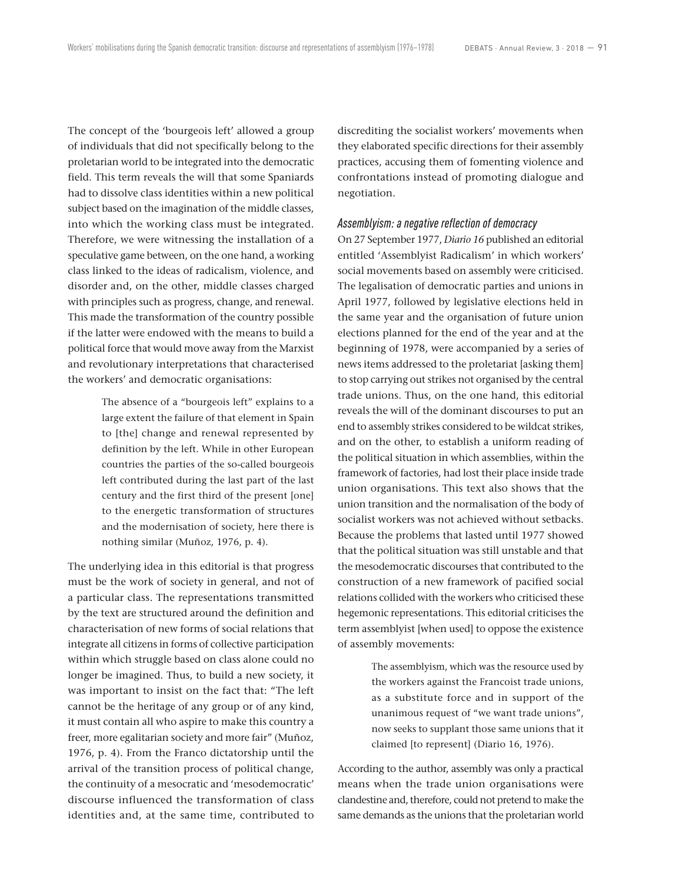The concept of the 'bourgeois left' allowed a group of individuals that did not specifically belong to the proletarian world to be integrated into the democratic field. This term reveals the will that some Spaniards had to dissolve class identities within a new political subject based on the imagination of the middle classes, into which the working class must be integrated. Therefore, we were witnessing the installation of a speculative game between, on the one hand, a working class linked to the ideas of radicalism, violence, and disorder and, on the other, middle classes charged with principles such as progress, change, and renewal. This made the transformation of the country possible if the latter were endowed with the means to build a political force that would move away from the Marxist and revolutionary interpretations that characterised the workers' and democratic organisations:

> The absence of a "bourgeois left" explains to a large extent the failure of that element in Spain to [the] change and renewal represented by definition by the left. While in other European countries the parties of the so-called bourgeois left contributed during the last part of the last century and the first third of the present [one] to the energetic transformation of structures and the modernisation of society, here there is nothing similar (Muñoz, 1976, p. 4).

The underlying idea in this editorial is that progress must be the work of society in general, and not of a particular class. The representations transmitted by the text are structured around the definition and characterisation of new forms of social relations that integrate all citizens in forms of collective participation within which struggle based on class alone could no longer be imagined. Thus, to build a new society, it was important to insist on the fact that: "The left cannot be the heritage of any group or of any kind, it must contain all who aspire to make this country a freer, more egalitarian society and more fair" (Muñoz, 1976, p. 4). From the Franco dictatorship until the arrival of the transition process of political change, the continuity of a mesocratic and 'mesodemocratic' discourse influenced the transformation of class identities and, at the same time, contributed to discrediting the socialist workers' movements when they elaborated specific directions for their assembly practices, accusing them of fomenting violence and confrontations instead of promoting dialogue and negotiation.

#### *Assemblyism: a negative reflection of democracy*

On 27 September 1977, *Diario 16* published an editorial entitled 'Assemblyist Radicalism' in which workers' social movements based on assembly were criticised. The legalisation of democratic parties and unions in April 1977, followed by legislative elections held in the same year and the organisation of future union elections planned for the end of the year and at the beginning of 1978, were accompanied by a series of news items addressed to the proletariat [asking them] to stop carrying out strikes not organised by the central trade unions. Thus, on the one hand, this editorial reveals the will of the dominant discourses to put an end to assembly strikes considered to be wildcat strikes, and on the other, to establish a uniform reading of the political situation in which assemblies, within the framework of factories, had lost their place inside trade union organisations. This text also shows that the union transition and the normalisation of the body of socialist workers was not achieved without setbacks. Because the problems that lasted until 1977 showed that the political situation was still unstable and that the mesodemocratic discourses that contributed to the construction of a new framework of pacified social relations collided with the workers who criticised these hegemonic representations. This editorial criticises the term assemblyist [when used] to oppose the existence of assembly movements:

> The assemblyism, which was the resource used by the workers against the Francoist trade unions, as a substitute force and in support of the unanimous request of "we want trade unions", now seeks to supplant those same unions that it claimed [to represent] (Diario 16, 1976).

According to the author, assembly was only a practical means when the trade union organisations were clandestine and, therefore, could not pretend to make the same demands as the unions that the proletarian world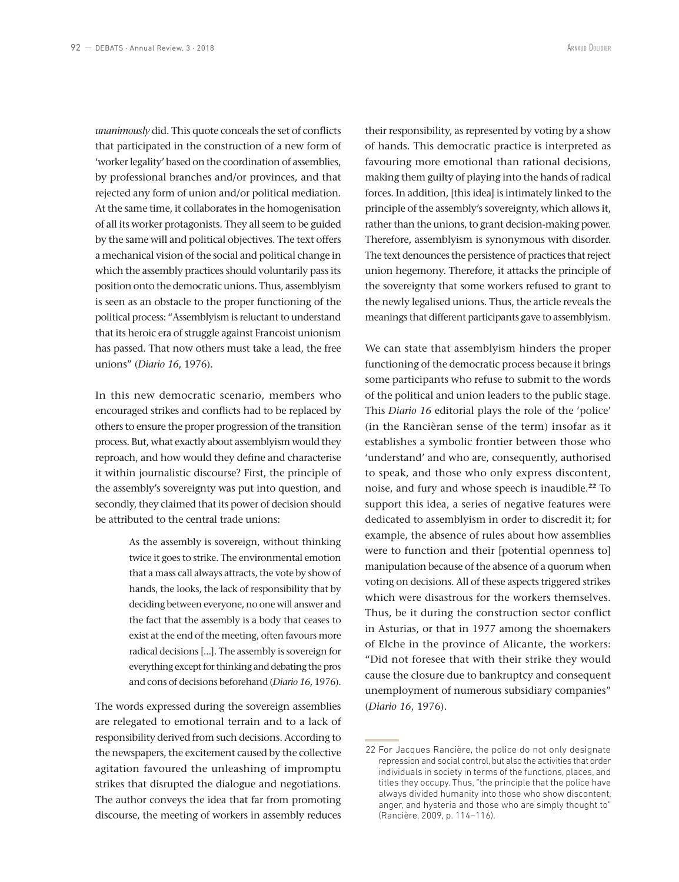*unanimously* did. This quote conceals the set of conflicts that participated in the construction of a new form of 'worker legality' based on the coordination of assemblies, by professional branches and/or provinces, and that rejected any form of union and/or political mediation. At the same time, it collaborates in the homogenisation of all its worker protagonists. They all seem to be guided by the same will and political objectives. The text offers a mechanical vision of the social and political change in which the assembly practices should voluntarily pass its position onto the democratic unions. Thus, assemblyism is seen as an obstacle to the proper functioning of the political process: "Assemblyism is reluctant to understand that its heroic era of struggle against Francoist unionism has passed. That now others must take a lead, the free unions" (*Diario 16*, 1976).

In this new democratic scenario, members who encouraged strikes and conflicts had to be replaced by others to ensure the proper progression of the transition process. But, what exactly about assemblyism would they reproach, and how would they define and characterise it within journalistic discourse? First, the principle of the assembly's sovereignty was put into question, and secondly, they claimed that its power of decision should be attributed to the central trade unions:

> As the assembly is sovereign, without thinking twice it goes to strike. The environmental emotion that a mass call always attracts, the vote by show of hands, the looks, the lack of responsibility that by deciding between everyone, no one will answer and the fact that the assembly is a body that ceases to exist at the end of the meeting, often favours more radical decisions [...]. The assembly is sovereign for everything except for thinking and debating the pros and cons of decisions beforehand (*Diario 16*, 1976).

The words expressed during the sovereign assemblies are relegated to emotional terrain and to a lack of responsibility derived from such decisions. According to the newspapers, the excitement caused by the collective agitation favoured the unleashing of impromptu strikes that disrupted the dialogue and negotiations. The author conveys the idea that far from promoting discourse, the meeting of workers in assembly reduces

their responsibility, as represented by voting by a show of hands. This democratic practice is interpreted as favouring more emotional than rational decisions, making them guilty of playing into the hands of radical forces. In addition, [this idea] is intimately linked to the principle of the assembly's sovereignty, which allows it, rather than the unions, to grant decision-making power. Therefore, assemblyism is synonymous with disorder. The text denounces the persistence of practices that reject union hegemony. Therefore, it attacks the principle of the sovereignty that some workers refused to grant to the newly legalised unions. Thus, the article reveals the meanings that different participants gave to assemblyism.

We can state that assemblyism hinders the proper functioning of the democratic process because it brings some participants who refuse to submit to the words of the political and union leaders to the public stage. This *Diario 16* editorial plays the role of the 'police' (in the Rancièran sense of the term) insofar as it establishes a symbolic frontier between those who 'understand' and who are, consequently, authorised to speak, and those who only express discontent, noise, and fury and whose speech is inaudible.**<sup>22</sup>** To support this idea, a series of negative features were dedicated to assemblyism in order to discredit it; for example, the absence of rules about how assemblies were to function and their [potential openness to] manipulation because of the absence of a quorum when voting on decisions. All of these aspects triggered strikes which were disastrous for the workers themselves. Thus, be it during the construction sector conflict in Asturias, or that in 1977 among the shoemakers of Elche in the province of Alicante, the workers: "Did not foresee that with their strike they would cause the closure due to bankruptcy and consequent unemployment of numerous subsidiary companies" (*Diario 16*, 1976).

<sup>22</sup> For Jacques Rancière, the police do not only designate repression and social control, but also the activities that order individuals in society in terms of the functions, places, and titles they occupy. Thus, "the principle that the police have always divided humanity into those who show discontent, anger, and hysteria and those who are simply thought to" (Rancière, 2009, p. 114–116).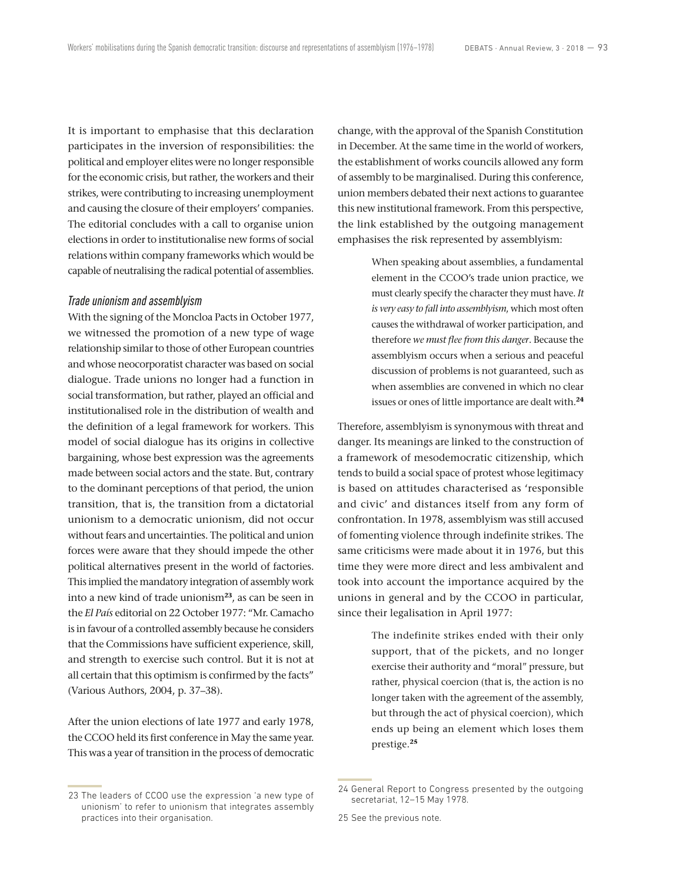It is important to emphasise that this declaration participates in the inversion of responsibilities: the political and employer elites were no longer responsible for the economic crisis, but rather, the workers and their strikes, were contributing to increasing unemployment and causing the closure of their employers' companies. The editorial concludes with a call to organise union elections in order to institutionalise new forms of social relations within company frameworks which would be capable of neutralising the radical potential of assemblies.

# *Trade unionism and assemblyism*

With the signing of the Moncloa Pacts in October 1977, we witnessed the promotion of a new type of wage relationship similar to those of other European countries and whose neocorporatist character was based on social dialogue. Trade unions no longer had a function in social transformation, but rather, played an official and institutionalised role in the distribution of wealth and the definition of a legal framework for workers. This model of social dialogue has its origins in collective bargaining, whose best expression was the agreements made between social actors and the state. But, contrary to the dominant perceptions of that period, the union transition, that is, the transition from a dictatorial unionism to a democratic unionism, did not occur without fears and uncertainties. The political and union forces were aware that they should impede the other political alternatives present in the world of factories. This implied the mandatory integration of assembly work into a new kind of trade unionism**<sup>23</sup>**, as can be seen in the *El País* editorial on 22 October 1977: "Mr. Camacho is in favour of a controlled assembly because he considers that the Commissions have sufficient experience, skill, and strength to exercise such control. But it is not at all certain that this optimism is confirmed by the facts" (Various Authors, 2004, p. 37–38).

After the union elections of late 1977 and early 1978, the CCOO held its first conference in May the same year. This was a year of transition in the process of democratic change, with the approval of the Spanish Constitution in December. At the same time in the world of workers, the establishment of works councils allowed any form of assembly to be marginalised. During this conference, union members debated their next actions to guarantee this new institutional framework. From this perspective, the link established by the outgoing management emphasises the risk represented by assemblyism:

> When speaking about assemblies, a fundamental element in the CCOO's trade union practice, we must clearly specify the character they must have. *It is very easy to fall into assemblyism*, which most often causes the withdrawal of worker participation, and therefore *we must flee from this danger*. Because the assemblyism occurs when a serious and peaceful discussion of problems is not guaranteed, such as when assemblies are convened in which no clear issues or ones of little importance are dealt with.**<sup>24</sup>**

Therefore, assemblyism is synonymous with threat and danger. Its meanings are linked to the construction of a framework of mesodemocratic citizenship, which tends to build a social space of protest whose legitimacy is based on attitudes characterised as 'responsible and civic' and distances itself from any form of confrontation. In 1978, assemblyism was still accused of fomenting violence through indefinite strikes. The same criticisms were made about it in 1976, but this time they were more direct and less ambivalent and took into account the importance acquired by the unions in general and by the CCOO in particular, since their legalisation in April 1977:

> The indefinite strikes ended with their only support, that of the pickets, and no longer exercise their authority and "moral" pressure, but rather, physical coercion (that is, the action is no longer taken with the agreement of the assembly, but through the act of physical coercion), which ends up being an element which loses them prestige.**<sup>25</sup>**

<sup>23</sup> The leaders of CCOO use the expression 'a new type of unionism' to refer to unionism that integrates assembly practices into their organisation.

<sup>24</sup> General Report to Congress presented by the outgoing secretariat, 12–15 May 1978.

<sup>25</sup> See the previous note.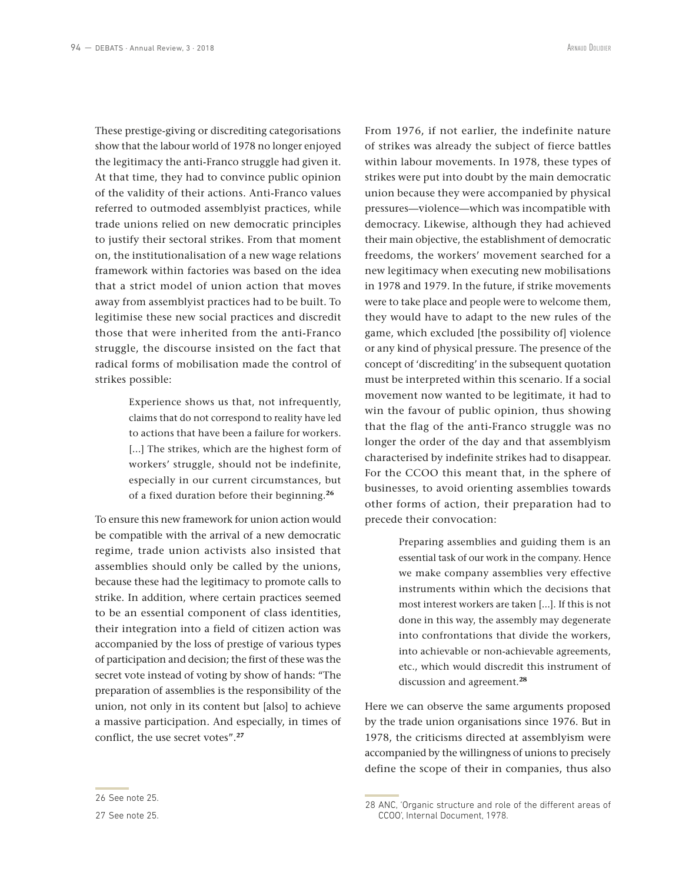These prestige-giving or discrediting categorisations show that the labour world of 1978 no longer enjoyed the legitimacy the anti-Franco struggle had given it. At that time, they had to convince public opinion of the validity of their actions. Anti-Franco values referred to outmoded assemblyist practices, while trade unions relied on new democratic principles to justify their sectoral strikes. From that moment on, the institutionalisation of a new wage relations framework within factories was based on the idea that a strict model of union action that moves away from assemblyist practices had to be built. To legitimise these new social practices and discredit those that were inherited from the anti-Franco struggle, the discourse insisted on the fact that radical forms of mobilisation made the control of strikes possible:

> Experience shows us that, not infrequently, claims that do not correspond to reality have led to actions that have been a failure for workers. [...] The strikes, which are the highest form of workers' struggle, should not be indefinite, especially in our current circumstances, but of a fixed duration before their beginning.**<sup>26</sup>**

To ensure this new framework for union action would be compatible with the arrival of a new democratic regime, trade union activists also insisted that assemblies should only be called by the unions, because these had the legitimacy to promote calls to strike. In addition, where certain practices seemed to be an essential component of class identities, their integration into a field of citizen action was accompanied by the loss of prestige of various types of participation and decision; the first of these was the secret vote instead of voting by show of hands: "The preparation of assemblies is the responsibility of the union, not only in its content but [also] to achieve a massive participation. And especially, in times of conflict, the use secret votes".**<sup>27</sup>**

From 1976, if not earlier, the indefinite nature of strikes was already the subject of fierce battles within labour movements. In 1978, these types of strikes were put into doubt by the main democratic union because they were accompanied by physical pressures—violence—which was incompatible with democracy. Likewise, although they had achieved their main objective, the establishment of democratic freedoms, the workers' movement searched for a new legitimacy when executing new mobilisations in 1978 and 1979. In the future, if strike movements were to take place and people were to welcome them, they would have to adapt to the new rules of the game, which excluded [the possibility of] violence or any kind of physical pressure. The presence of the concept of 'discrediting' in the subsequent quotation must be interpreted within this scenario. If a social movement now wanted to be legitimate, it had to win the favour of public opinion, thus showing that the flag of the anti-Franco struggle was no longer the order of the day and that assemblyism characterised by indefinite strikes had to disappear. For the CCOO this meant that, in the sphere of businesses, to avoid orienting assemblies towards other forms of action, their preparation had to precede their convocation:

> Preparing assemblies and guiding them is an essential task of our work in the company. Hence we make company assemblies very effective instruments within which the decisions that most interest workers are taken [...]. If this is not done in this way, the assembly may degenerate into confrontations that divide the workers, into achievable or non-achievable agreements, etc., which would discredit this instrument of discussion and agreement.**<sup>28</sup>**

Here we can observe the same arguments proposed by the trade union organisations since 1976. But in 1978, the criticisms directed at assemblyism were accompanied by the willingness of unions to precisely define the scope of their in companies, thus also

<sup>26</sup> See note 25.

<sup>27</sup> See note 25.

<sup>28</sup> ANC, 'Organic structure and role of the different areas of CCOO', Internal Document, 1978.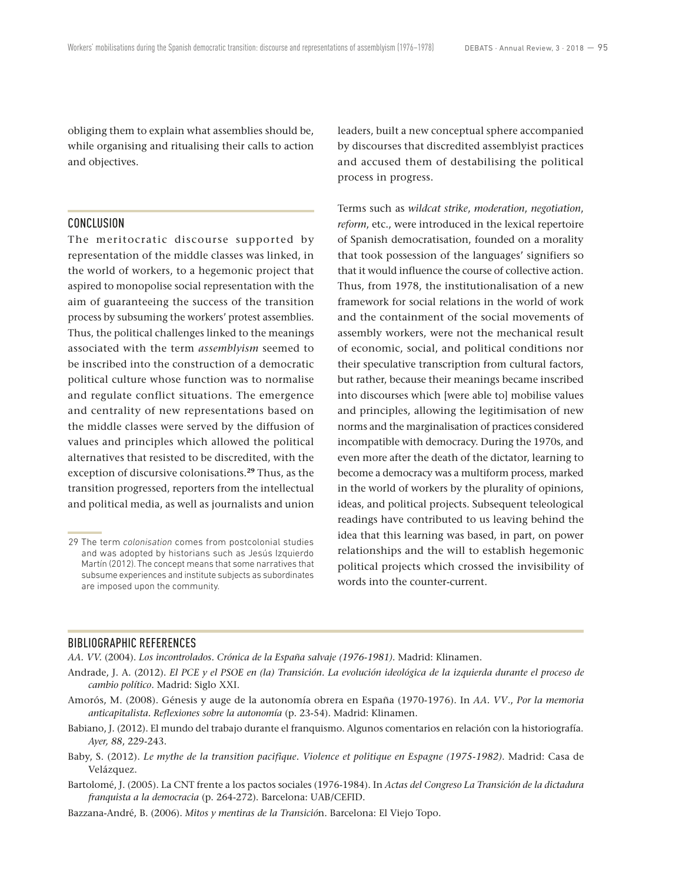obliging them to explain what assemblies should be, while organising and ritualising their calls to action and objectives.

# CONCLUSION

The meritocratic discourse supported by representation of the middle classes was linked, in the world of workers, to a hegemonic project that aspired to monopolise social representation with the aim of guaranteeing the success of the transition process by subsuming the workers' protest assemblies. Thus, the political challenges linked to the meanings associated with the term *assemblyism* seemed to be inscribed into the construction of a democratic political culture whose function was to normalise and regulate conflict situations. The emergence and centrality of new representations based on the middle classes were served by the diffusion of values and principles which allowed the political alternatives that resisted to be discredited, with the exception of discursive colonisations.**<sup>29</sup>** Thus, as the transition progressed, reporters from the intellectual and political media, as well as journalists and union leaders, built a new conceptual sphere accompanied by discourses that discredited assemblyist practices and accused them of destabilising the political process in progress.

Terms such as *wildcat strike*, *moderation*, *negotiation*, *reform*, etc., were introduced in the lexical repertoire of Spanish democratisation, founded on a morality that took possession of the languages' signifiers so that it would influence the course of collective action. Thus, from 1978, the institutionalisation of a new framework for social relations in the world of work and the containment of the social movements of assembly workers, were not the mechanical result of economic, social, and political conditions nor their speculative transcription from cultural factors, but rather, because their meanings became inscribed into discourses which [were able to] mobilise values and principles, allowing the legitimisation of new norms and the marginalisation of practices considered incompatible with democracy. During the 1970s, and even more after the death of the dictator, learning to become a democracy was a multiform process, marked in the world of workers by the plurality of opinions, ideas, and political projects. Subsequent teleological readings have contributed to us leaving behind the idea that this learning was based, in part, on power relationships and the will to establish hegemonic political projects which crossed the invisibility of words into the counter-current.

## BIBLIOGRAPHIC REFERENCES

*AA. VV.* (2004). *Los incontrolados. Crónica de la España salvaje (1976-1981).* Madrid: Klinamen.

- Andrade, J. A. (2012). *El PCE y el PSOE en (la) Transición. La evolución ideológica de la izquierda durante el proceso de cambio político*. Madrid: Siglo XXI.
- Amorós, M. (2008). Génesis y auge de la autonomía obrera en España (1970-1976). In *AA. VV*., *Por la memoria anticapitalista. Reflexiones sobre la autonomía* (p. 23-54). Madrid: Klinamen.
- Babiano, J. (2012). El mundo del trabajo durante el franquismo. Algunos comentarios en relación con la historiografía. *Ayer, 88*, 229-243.
- Baby, S. (2012). *Le mythe de la transition pacifique. Violence et politique en Espagne (1975-1982)*. Madrid: Casa de Velázquez.
- Bartolomé, J. (2005). La CNT frente a los pactos sociales (1976-1984). In *Actas del Congreso La Transición de la dictadura franquista a la democracia* (p. 264-272). Barcelona: UAB/CEFID.
- Bazzana-André, B. (2006). *Mitos y mentiras de la Transició*n. Barcelona: El Viejo Topo.

<sup>29</sup> The term *colonisation* comes from postcolonial studies and was adopted by historians such as Jesús Izquierdo Martín (2012). The concept means that some narratives that subsume experiences and institute subjects as subordinates are imposed upon the community.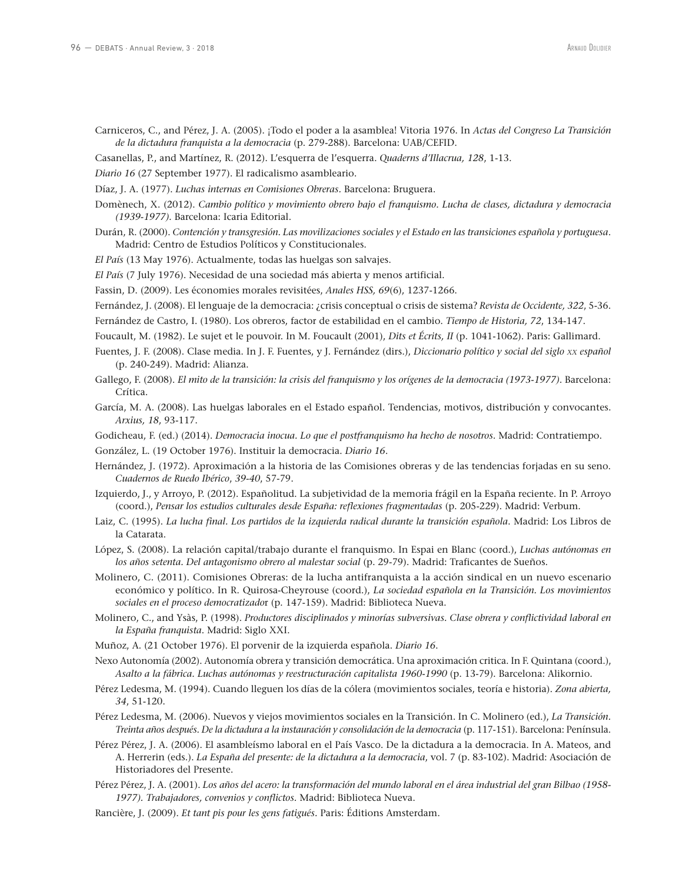- Carniceros, C., and Pérez, J. A. (2005). ¡Todo el poder a la asamblea! Vitoria 1976. In *Actas del Congreso La Transición de la dictadura franquista a la democracia* (p. 279-288). Barcelona: UAB/CEFID.
- Casanellas, P., and Martínez, R. (2012). L'esquerra de l'esquerra. *Quaderns d'Illacrua, 128*, 1-13.
- *Diario 16* (27 September 1977). El radicalismo asambleario.
- Díaz, J. A. (1977). *Luchas internas en Comisiones Obreras.* Barcelona: Bruguera.
- Domènech, X. (2012). *Cambio político y movimiento obrero bajo el franquismo. Lucha de clases, dictadura y democracia (1939-1977)*. Barcelona: Icaria Editorial.
- Durán, R. (2000). *Contención y transgresión. Las movilizaciones sociales y el Estado en las transiciones española y portuguesa*. Madrid: Centro de Estudios Políticos y Constitucionales.
- *El País* (13 May 1976). Actualmente, todas las huelgas son salvajes.
- *El País* (7 July 1976). Necesidad de una sociedad más abierta y menos artificial.
- Fassin, D. (2009). Les économies morales revisitées, *Anales HSS, 69*(6), 1237-1266.
- Fernández, J. (2008). El lenguaje de la democracia: ¿crisis conceptual o crisis de sistema? *Revista de Occidente, 322*, 5-36.
- Fernández de Castro, I. (1980). Los obreros, factor de estabilidad en el cambio. *Tiempo de Historia, 72*, 134-147.
- Foucault, M. (1982). Le sujet et le pouvoir. In M. Foucault (2001), *Dits et Écrits, II* (p. 1041-1062). Paris: Gallimard.
- Fuentes, J. F. (2008). Clase media. In J. F. Fuentes, y J. Fernández (dirs.), *Diccionario político y social del siglo xx español* (p. 240-249). Madrid: Alianza.
- Gallego, F. (2008). *El mito de la transición: la crisis del franquismo y los orígenes de la democracia (1973-1977)*. Barcelona: Crítica.
- García, M. A. (2008). Las huelgas laborales en el Estado español. Tendencias, motivos, distribución y convocantes. *Arxius, 18*, 93-117.
- Godicheau, F. (ed.) (2014). *Democracia inocua. Lo que el postfranquismo ha hecho de nosotros*. Madrid: Contratiempo.
- González, L. (19 October 1976). Instituir la democracia. *Diario 16*.
- Hernández, J. (1972). Aproximación a la historia de las Comisiones obreras y de las tendencias forjadas en su seno. *Cuadernos de Ruedo Ibérico*, *39-40*, 57-79.
- Izquierdo, J., y Arroyo, P. (2012). Españolitud. La subjetividad de la memoria frágil en la España reciente. In P. Arroyo (coord.), *Pensar los estudios culturales desde España: reflexiones fragmentadas* (p. 205-229). Madrid: Verbum.
- Laiz, C. (1995). *La lucha final. Los partidos de la izquierda radical durante la transición española*. Madrid: Los Libros de la Catarata.
- López, S. (2008). La relación capital/trabajo durante el franquismo. In Espai en Blanc (coord.), *Luchas autónomas en*  los años setenta. Del antagonismo obrero al malestar social (p. 29-79). Madrid: Traficantes de Sueños.
- Molinero, C. (2011). Comisiones Obreras: de la lucha antifranquista a la acción sindical en un nuevo escenario económico y político. In R. Quirosa-Cheyrouse (coord.), *La sociedad española en la Transición. Los movimientos sociales en el proceso democratizado*r (p. 147-159). Madrid: Biblioteca Nueva.
- Molinero, C., and Ysàs, P. (1998). *Productores disciplinados y minorías subversivas. Clase obrera y conflictividad laboral en la España franquista*. Madrid: Siglo XXI.
- Muñoz, A. (21 October 1976). El porvenir de la izquierda española. *Diario 16*.
- Nexo Autonomía (2002). Autonomía obrera y transición democrática. Una aproximación critica. In F. Quintana (coord.), *Asalto a la fábrica. Luchas autónomas y reestructuración capitalista 1960-1990* (p. 13-79). Barcelona: Alikornio.
- Pérez Ledesma, M. (1994). Cuando lleguen los días de la cólera (movimientos sociales, teoría e historia). *Zona abierta, 34*, 51-120.
- Pérez Ledesma, M. (2006). Nuevos y viejos movimientos sociales en la Transición. In C. Molinero (ed.), *La Transición. Treinta años después. De la dictadura a la instauración y consolidación de la democracia* (p. 117-151). Barcelona: Península.
- Pérez Pérez, J. A. (2006). El asambleísmo laboral en el País Vasco. De la dictadura a la democracia. In A. Mateos, and A. Herrerin (eds.). *La España del presente: de la dictadura a la democracia*, vol. 7 (p. 83-102). Madrid: Asociación de Historiadores del Presente.
- Pérez Pérez, J. A. (2001). *Los años del acero: la transformación del mundo laboral en el área industrial del gran Bilbao (1958- 1977). Trabajadores, convenios y conflictos.* Madrid: Biblioteca Nueva.
- Rancière, J. (2009). *Et tant pis pour les gens fatigués.* Paris: Éditions Amsterdam.